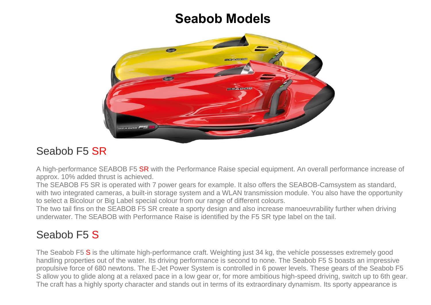## **Seabob Models**



## Seabob F5 SR

A high-performance SEABOB F5 SR with the Performance Raise special equipment. An overall performance increase of approx. 10% added thrust is achieved.

The SEABOB F5 SR is operated with 7 power gears for example. It also offers the SEABOB-Camsystem as standard, with two integrated cameras, a built-in storage system and a WLAN transmission module. You also have the opportunity to select a Bicolour or Big Label special colour from our range of different colours.

The two tail fins on the SEABOB F5 SR create a sporty design and also increase manoeuvrability further when driving underwater. The SEABOB with Performance Raise is identified by the F5 SR type label on the tail.

## Seabob F5 S

The Seabob F5 S is the ultimate high-performance craft. Weighting just 34 kg, the vehicle possesses extremely good handling properties out of the water. Its driving performance is second to none. The Seabob F5 S boasts an impressive propulsive force of 680 newtons. The E-Jet Power System is controlled in 6 power levels. These gears of the Seabob F5 S allow you to glide along at a relaxed pace in a low gear or, for more ambitious high-speed driving, switch up to 6th gear. The craft has a highly sporty character and stands out in terms of its extraordinary dynamism. Its sporty appearance is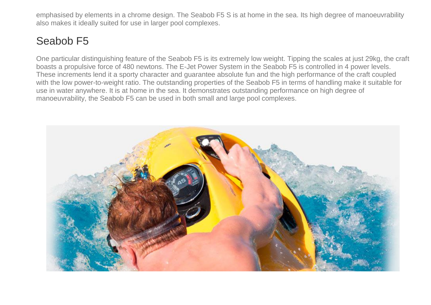emphasised by elements in a chrome design. The Seabob F5 S is at home in the sea. Its high degree of manoeuvrability also makes it ideally suited for use in larger pool complexes.

## Seabob F5

One particular distinguishing feature of the Seabob F5 is its extremely low weight. Tipping the scales at just 29kg, the craft boasts a propulsive force of 480 newtons. The E-Jet Power System in the Seabob F5 is controlled in 4 power levels. These increments lend it a sporty character and guarantee absolute fun and the high performance of the craft coupled with the low power-to-weight ratio. The outstanding properties of the Seabob F5 in terms of handling make it suitable for use in water anywhere. It is at home in the sea. It demonstrates outstanding performance on high degree of manoeuvrability, the Seabob F5 can be used in both small and large pool complexes.